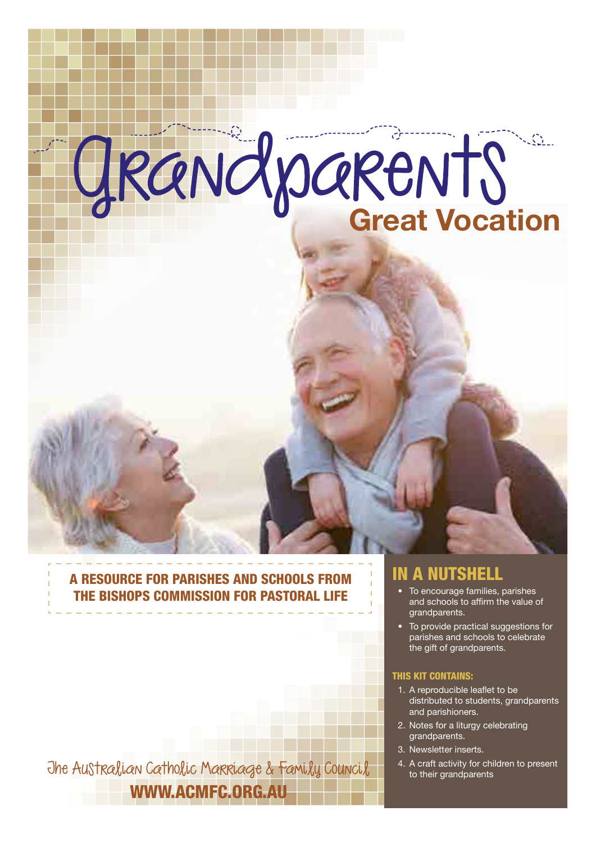# GRANCY DARENTS

## A RESOURCE FOR PARISHES AND SCHOOLS FROM THE BISHOPS COMMISSION FOR PASTORAL LIFE

[The Australian Catholic Marriage & Family Council](http://acmfc.org.au)  $\frac{1}{10}$  <sup>4. A craft activity for children to present</sup> WWW.ACMFC.ORG.AU

## IN A NUTSHELL

- To encourage families, parishes and schools to affirm the value of grandparents.
- To provide practical suggestions for parishes and schools to celebrate the gift of grandparents.

### THIS KIT CONTAINS:

- 1. A reproducible leaflet to be distributed to students, grandparents and parishioners.
- 2. Notes for a liturgy celebrating grandparents.
- 3. Newsletter inserts.
-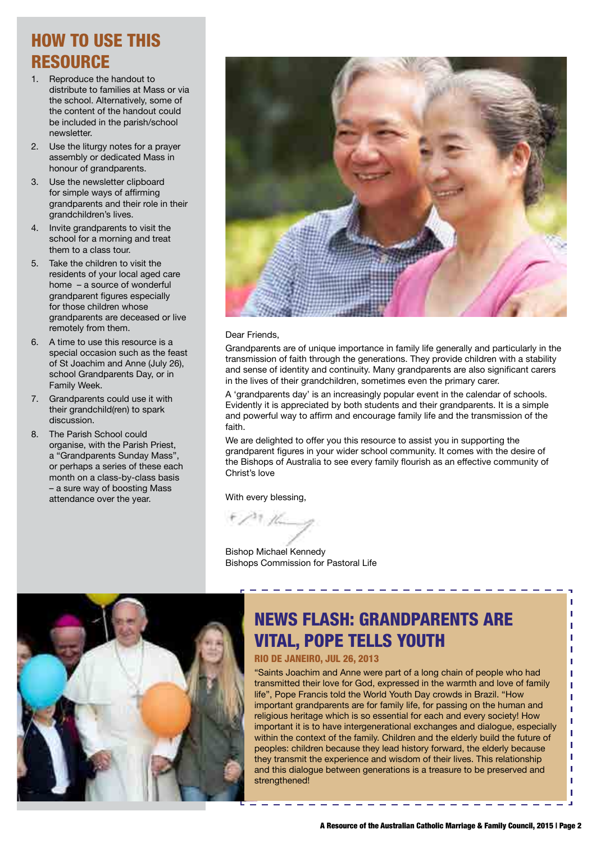## HOW TO USE THIS **RESOURCE**

- 1. Reproduce the handout to distribute to families at Mass or via the school. Alternatively, some of the content of the handout could be included in the parish/school newsletter.
- 2. Use the liturgy notes for a prayer assembly or dedicated Mass in honour of grandparents.
- 3. Use the newsletter clipboard for simple ways of affirming grandparents and their role in their grandchildren's lives.
- 4. Invite grandparents to visit the school for a morning and treat them to a class tour.
- 5. Take the children to visit the residents of your local aged care home – a source of wonderful grandparent figures especially for those children whose grandparents are deceased or live remotely from them.
- 6. A time to use this resource is a special occasion such as the feast of St Joachim and Anne (July 26), school Grandparents Day, or in Family Week.
- 7. Grandparents could use it with their grandchild(ren) to spark discussion.
- 8. The Parish School could organise, with the Parish Priest, a "Grandparents Sunday Mass", or perhaps a series of these each month on a class-by-class basis – a sure way of boosting Mass attendance over the year.



#### Dear Friends,

Grandparents are of unique importance in family life generally and particularly in the transmission of faith through the generations. They provide children with a stability and sense of identity and continuity. Many grandparents are also significant carers in the lives of their grandchildren, sometimes even the primary carer.

A 'grandparents day' is an increasingly popular event in the calendar of schools. Evidently it is appreciated by both students and their grandparents. It is a simple and powerful way to affirm and encourage family life and the transmission of the faith.

We are delighted to offer you this resource to assist you in supporting the grandparent figures in your wider school community. It comes with the desire of the Bishops of Australia to see every family flourish as an effective community of Christ's love

With every blessing,

Bishop Michael Kennedy Bishops Commission for Pastoral Life



## NEWS FLASH: GRANDPARENTS ARE VITAL, POPE TELLS YOUTH

---------------

## RIO DE JANEIRO, JUL 26, 2013

"Saints Joachim and Anne were part of a long chain of people who had transmitted their love for God, expressed in the warmth and love of family life", Pope Francis told the World Youth Day crowds in Brazil. "How important grandparents are for family life, for passing on the human and religious heritage which is so essential for each and every society! How important it is to have intergenerational exchanges and dialogue, especially within the context of the family. Children and the elderly build the future of peoples: children because they lead history forward, the elderly because they transmit the experience and wisdom of their lives. This relationship and this dialogue between generations is a treasure to be preserved and strengthened!

f, J.

J. J.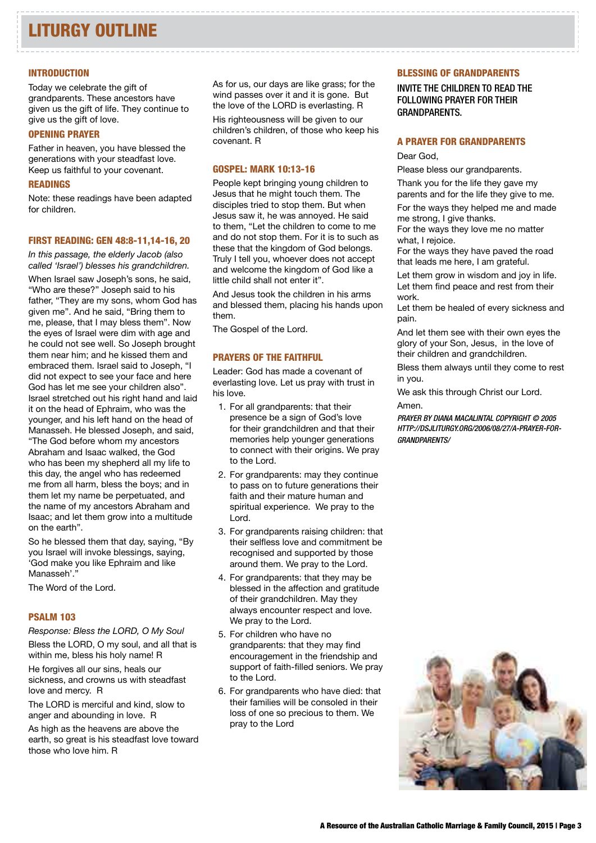#### **INTRODUCTION**

Today we celebrate the gift of grandparents. These ancestors have given us the gift of life. They continue to give us the gift of love.

## OPENING PRAYER

Father in heaven, you have blessed the generations with your steadfast love. Keep us faithful to your covenant.

## READINGS

Note: these readings have been adapted for children.

#### FIRST READING: GEN 48:8-11,14-16, 20

*In this passage, the elderly Jacob (also called 'Israel') blesses his grandchildren.* When Israel saw Joseph's sons, he said, "Who are these?" Joseph said to his father, "They are my sons, whom God has given me". And he said, "Bring them to me, please, that I may bless them". Now the eyes of Israel were dim with age and he could not see well. So Joseph brought them near him; and he kissed them and embraced them. Israel said to Joseph, "I did not expect to see your face and here God has let me see your children also". Israel stretched out his right hand and laid it on the head of Ephraim, who was the younger, and his left hand on the head of Manasseh. He blessed Joseph, and said, "The God before whom my ancestors Abraham and Isaac walked, the God who has been my shepherd all my life to this day, the angel who has redeemed me from all harm, bless the boys; and in them let my name be perpetuated, and the name of my ancestors Abraham and Isaac; and let them grow into a multitude on the earth".

So he blessed them that day, saying, "By you Israel will invoke blessings, saying, 'God make you like Ephraim and like Manasseh'."

The Word of the Lord.

### PSALM 103

*Response: Bless the LORD, O My Soul*

Bless the LORD, O my soul, and all that is within me, bless his holy name! R

He forgives all our sins, heals our sickness, and crowns us with steadfast love and mercy. R

The LORD is merciful and kind, slow to anger and abounding in love. R

As high as the heavens are above the earth, so great is his steadfast love toward those who love him. R

As for us, our days are like grass; for the wind passes over it and it is gone. But the love of the LORD is everlasting. R

His righteousness will be given to our children's children, of those who keep his covenant. R

## GOSPEL: MARK 10:13-16

People kept bringing young children to Jesus that he might touch them. The disciples tried to stop them. But when Jesus saw it, he was annoyed. He said to them, "Let the children to come to me and do not stop them. For it is to such as these that the kingdom of God belongs. Truly I tell you, whoever does not accept and welcome the kingdom of God like a little child shall not enter it".

And Jesus took the children in his arms and blessed them, placing his hands upon them.

The Gospel of the Lord.

## PRAYERS OF THE FAITHFUL

Leader: God has made a covenant of everlasting love. Let us pray with trust in his love.

- 1. For all grandparents: that their presence be a sign of God's love for their grandchildren and that their memories help younger generations to connect with their origins. We pray to the Lord.
- 2. For grandparents: may they continue to pass on to future generations their faith and their mature human and spiritual experience. We pray to the Lord.
- 3. For grandparents raising children: that their selfless love and commitment be recognised and supported by those around them. We pray to the Lord.
- 4. For grandparents: that they may be blessed in the affection and gratitude of their grandchildren. May they always encounter respect and love. We pray to the Lord.
- 5. For children who have no grandparents: that they may find encouragement in the friendship and support of faith-filled seniors. We pray to the Lord.
- 6. For grandparents who have died: that their families will be consoled in their loss of one so precious to them. We pray to the Lord

#### BLESSING OF GRANDPARENTS

INVITE THE CHILDREN TO READ THE FOLLOWING PRAYER FOR THEIR GRANDPARENTS.

#### A PRAYER FOR GRANDPARENTS

Dear God,

Please bless our grandparents.

Thank you for the life they gave my

parents and for the life they give to me. For the ways they helped me and made me strong, I give thanks.

For the ways they love me no matter what, I rejoice.

For the ways they have paved the road that leads me here, I am grateful.

Let them grow in wisdom and joy in life. Let them find peace and rest from their work.

Let them be healed of every sickness and pain.

And let them see with their own eyes the glory of your Son, Jesus, in the love of their children and grandchildren.

Bless them always until they come to rest in you.

We ask this through Christ our Lord. Amen.

*PRAYER BY DIANA MACALINTAL COPYRIGHT © 2005 HTTP://DSJLITURGY.ORG/2006/08/27/A-PRAYER-FOR-GRANDPARENTS/* 

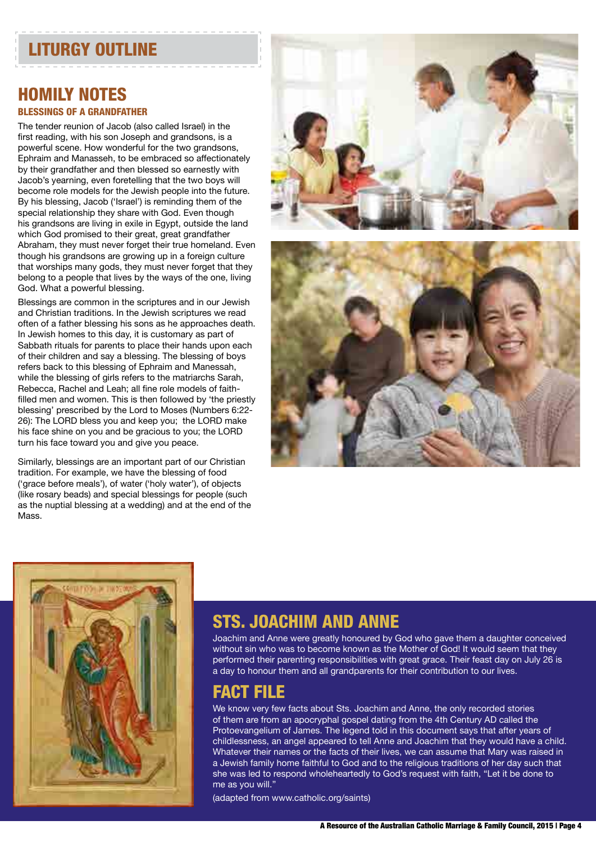## LITURGY OUTLINE

## HOMILY NOTES BLESSINGS OF A GRANDFATHER

The tender reunion of Jacob (also called Israel) in the first reading, with his son Joseph and grandsons, is a powerful scene. How wonderful for the two grandsons, Ephraim and Manasseh, to be embraced so affectionately by their grandfather and then blessed so earnestly with Jacob's yearning, even foretelling that the two boys will become role models for the Jewish people into the future. By his blessing, Jacob ('Israel') is reminding them of the special relationship they share with God. Even though his grandsons are living in exile in Egypt, outside the land which God promised to their great, great grandfather Abraham, they must never forget their true homeland. Even though his grandsons are growing up in a foreign culture that worships many gods, they must never forget that they belong to a people that lives by the ways of the one, living God. What a powerful blessing.

Blessings are common in the scriptures and in our Jewish and Christian traditions. In the Jewish scriptures we read often of a father blessing his sons as he approaches death. In Jewish homes to this day, it is customary as part of Sabbath rituals for parents to place their hands upon each of their children and say a blessing. The blessing of boys refers back to this blessing of Ephraim and Manessah, while the blessing of girls refers to the matriarchs Sarah, Rebecca, Rachel and Leah; all fine role models of faithfilled men and women. This is then followed by 'the priestly blessing' prescribed by the Lord to Moses (Numbers 6:22- 26): The LORD bless you and keep you; the LORD make his face shine on you and be gracious to you; the LORD turn his face toward you and give you peace.

Similarly, blessings are an important part of our Christian tradition. For example, we have the blessing of food ('grace before meals'), of water ('holy water'), of objects (like rosary beads) and special blessings for people (such as the nuptial blessing at a wedding) and at the end of the Mass.







## STS. JOACHIM AND ANNE

Joachim and Anne were greatly honoured by God who gave them a daughter conceived without sin who was to become known as the Mother of God! It would seem that they performed their parenting responsibilities with great grace. Their feast day on July 26 is a day to honour them and all grandparents for their contribution to our lives.

## FACT FILE

We know very few facts about Sts. Joachim and Anne, the only recorded stories of them are from an apocryphal gospel dating from the 4th Century AD called the Protoevangelium of James. The legend told in this document says that after years of childlessness, an angel appeared to tell Anne and Joachim that they would have a child. Whatever their names or the facts of their lives, we can assume that Mary was raised in a Jewish family home faithful to God and to the religious traditions of her day such that she was led to respond wholeheartedly to God's request with faith, "Let it be done to me as you will."

(adapted from www.catholic.org/saints)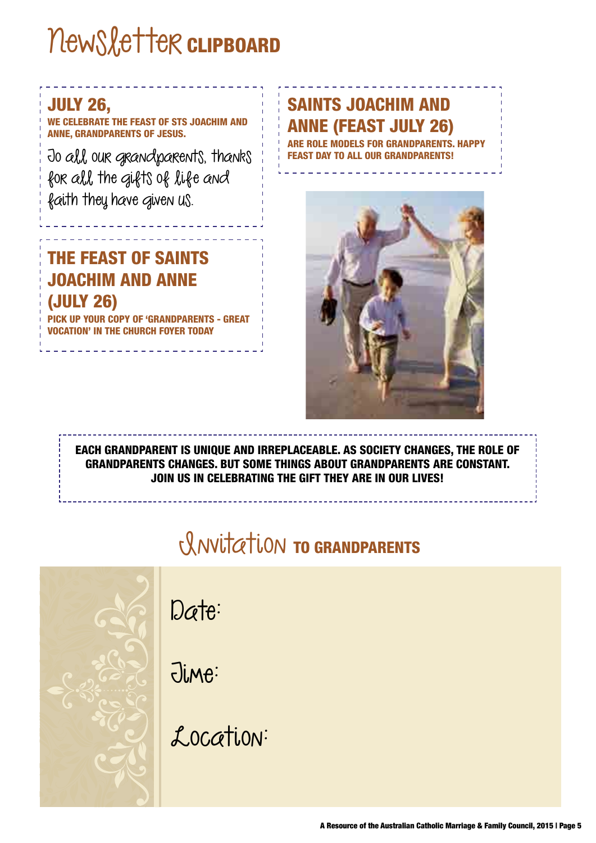# newsletter **CLIPBOARD**

## JULY 26,

WE CELEBRATE THE FEAST OF STS JOACHIM AND ANNE, GRANDPARENTS OF JESUS.

To all our grandparents, thanks for all the gifts of life and faith they have given us.

## THE FEAST OF SAINTS JOACHIM AND ANNE (JULY 26)

YOUR COPY OF 'GRANDPARENTS - GREAT CATION' IN THE CHURCH FOYER TODAY

## SAINTS JOACHIM AND ANNE (FEAST JULY 26)

ARE ROLE MODELS FOR GRANDPARENTS. HAPPY TO ALL OUR GRANDPARENTS!



EACH GRANDPARENT IS UNIQUE AND IRREPLACEABLE. AS SOCIETY CHANGES, THE ROLE OF GRANDPARENTS CHANGES. BUT SOME THINGS ABOUT GRANDPARENTS ARE CONSTANT. JOIN US IN CELEBRATING THE GIFT THEY ARE IN OUR LIVES!

## rlation TO GRANDPARENTS



Date:

Time:

Location: